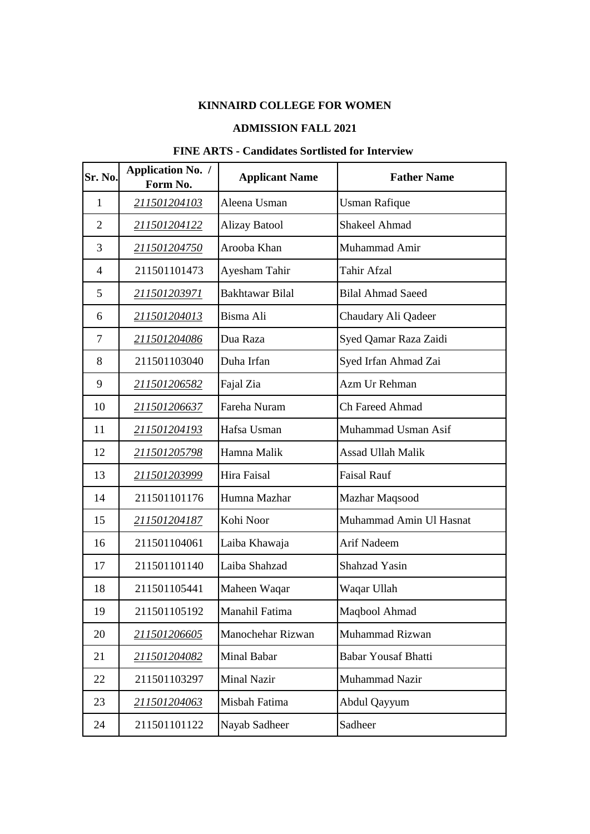## **KINNAIRD COLLEGE FOR WOMEN**

## **ADMISSION FALL 2021**

## **FINE ARTS - Candidates Sortlisted for Interview**

| Sr. No.        | <b>Application No. /</b><br>Form No. | <b>Applicant Name</b>  | <b>Father Name</b>         |
|----------------|--------------------------------------|------------------------|----------------------------|
| $\mathbf{1}$   | 211501204103                         | Aleena Usman           | <b>Usman Rafique</b>       |
| $\overline{2}$ | 211501204122                         | <b>Alizay Batool</b>   | <b>Shakeel Ahmad</b>       |
| 3              | 211501204750                         | Arooba Khan            | Muhammad Amir              |
| $\overline{4}$ | 211501101473                         | Ayesham Tahir          | <b>Tahir Afzal</b>         |
| 5              | 211501203971                         | <b>Bakhtawar Bilal</b> | <b>Bilal Ahmad Saeed</b>   |
| 6              | 211501204013                         | Bisma Ali              | Chaudary Ali Qadeer        |
| 7              | 211501204086                         | Dua Raza               | Syed Qamar Raza Zaidi      |
| 8              | 211501103040                         | Duha Irfan             | Syed Irfan Ahmad Zai       |
| 9              | 211501206582                         | Fajal Zia              | Azm Ur Rehman              |
| 10             | 211501206637                         | Fareha Nuram           | <b>Ch Fareed Ahmad</b>     |
| 11             | 211501204193                         | Hafsa Usman            | Muhammad Usman Asif        |
| 12             | 211501205798                         | Hamna Malik            | <b>Assad Ullah Malik</b>   |
| 13             | 211501203999                         | Hira Faisal            | <b>Faisal Rauf</b>         |
| 14             | 211501101176                         | Humna Mazhar           | Mazhar Maqsood             |
| 15             | 211501204187                         | Kohi Noor              | Muhammad Amin Ul Hasnat    |
| 16             | 211501104061                         | Laiba Khawaja          | Arif Nadeem                |
| 17             | 211501101140                         | Laiba Shahzad          | <b>Shahzad Yasin</b>       |
| 18             | 211501105441                         | Maheen Waqar           | Waqar Ullah                |
| 19             | 211501105192                         | Manahil Fatima         | Maqbool Ahmad              |
| 20             | 211501206605                         | Manochehar Rizwan      | Muhammad Rizwan            |
| 21             | 211501204082                         | Minal Babar            | <b>Babar Yousaf Bhatti</b> |
| 22             | 211501103297                         | <b>Minal Nazir</b>     | <b>Muhammad Nazir</b>      |
| 23             | 211501204063                         | Misbah Fatima          | Abdul Qayyum               |
| 24             | 211501101122                         | Nayab Sadheer          | Sadheer                    |